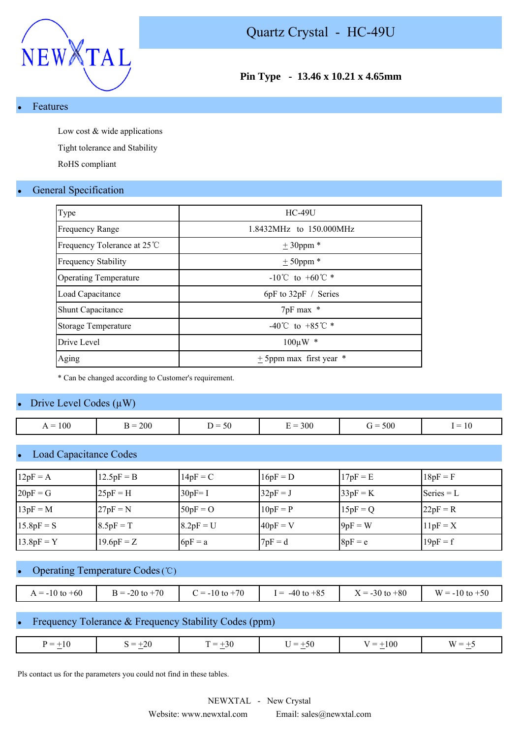

## **Pin Type - 13.46 x 10.21 x 4.65mm**

#### **Features**

Low cost & wide applications

Tight tolerance and Stability

RoHS compliant

### **General Specification**

| Type                         | <b>HC-49U</b>                        |
|------------------------------|--------------------------------------|
| <b>Frequency Range</b>       | 1.8432MHz to 150.000MHz              |
| Frequency Tolerance at 25 ℃  | $± 30$ ppm $*$                       |
| <b>Frequency Stability</b>   | $± 50$ ppm *                         |
| <b>Operating Temperature</b> | $-10^{\circ}$ C to $+60^{\circ}$ C * |
| Load Capacitance             | $6pF$ to $32pF /$ Series             |
| <b>Shunt Capacitance</b>     | 7pF max *                            |
| Storage Temperature          | $-40^{\circ}$ C to $+85^{\circ}$ C * |
| Drive Level                  | $100 \mu W$ *                        |
| Aging                        | $\pm$ 5ppm max first year<br>∗       |

\* Can be changed according to Customer's requirement.

#### Drive Level Codes  $(\mu W)$

| $\sim$ $\sim$<br>$\dot{r} =$<br>к =<br>= ا |                   |     |    |         |              |           |
|--------------------------------------------|-------------------|-----|----|---------|--------------|-----------|
|                                            | 100<br>. <b>.</b> | 200 | 50 | $= 300$ | $= 500$<br>ີ | <b>IV</b> |

### **Load Capacitance Codes**

| $12pF = A$   | $12.5pF = B$ | $14pF = C$  | $16pF = D$ | $17pF = E$ | $18pF = F$   |
|--------------|--------------|-------------|------------|------------|--------------|
| $20pF = G$   | $25pF = H$   | $30pF = I$  | $32pF = J$ | $33pF = K$ | Series $= L$ |
| $13pF = M$   | $27pF = N$   | $50pF = O$  | $10pF = P$ | $15pF = Q$ | $22pF = R$   |
| $15.8pF = S$ | $8.5pF = T$  | $8.2pF = U$ | $40pF = V$ | $9pF = W$  | $11pF = X$   |
| $13.8pF = Y$ | $19.6pF = Z$ | $6pF = a$   | $7pF = d$  | $8pF = e$  | $19pF = f$   |

#### Operating Temperature Codes (℃)

| $A = -10$ to $+60$ | $= -20$ to $+70$ | $= -10$ to $+70$ | $-40$ to $+85$<br>$=$ | $X = -30$ to $+80$ | $W = -10$ to $+50$ |
|--------------------|------------------|------------------|-----------------------|--------------------|--------------------|

## Frequency Tolerance & Frequency Stability Codes (ppm)

| 20<br>$-10$<br>$=$<br>$=$<br>$\overline{\phantom{0}}$<br>ЭU<br>$+30$<br>O<br>$\overline{\phantom{a}}$<br>W<br>$\equiv$<br>$\cdot$<br>_<br>$\overline{\phantom{a}}$<br>and the state of the state of the<br>$\sim$<br>$\sim$ | $\overline{\phantom{a}}$ |
|-----------------------------------------------------------------------------------------------------------------------------------------------------------------------------------------------------------------------------|--------------------------|
|-----------------------------------------------------------------------------------------------------------------------------------------------------------------------------------------------------------------------------|--------------------------|

Pls contact us for the parameters you could not find in these tables.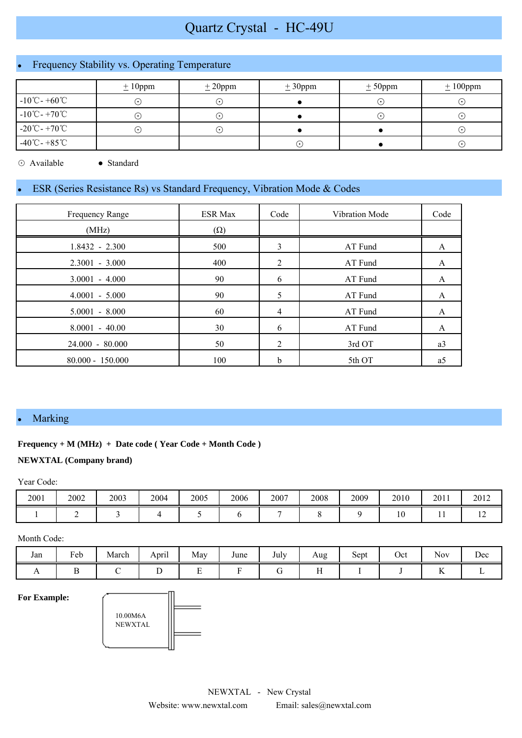# Quartz Crystal - HC-49U

# Frequency Stability vs. Operating Temperature

|                                   | $\pm 10$ ppm           | ± 20 ppm                   | $\pm 30$ ppm            | $± 50$ ppm  | $\pm 100$ ppm |
|-----------------------------------|------------------------|----------------------------|-------------------------|-------------|---------------|
| $-10^{\circ}$ C - $+60^{\circ}$ C | $(\bullet)$            | $(\,\boldsymbol{\cdot}\,)$ |                         | ( • ا       | $\cdot$       |
| $-10^{\circ}$ C - $+70^{\circ}$ C | $(\boldsymbol{\cdot})$ | $(\,\boldsymbol{\cdot}\,)$ |                         | $(\bullet)$ | $(\cdot)$     |
| $-20^{\circ}$ C - $+70^{\circ}$ C | $(\cdot)$              | $(\,\boldsymbol{\cdot}\,)$ |                         |             | $(\cdot)$     |
| $-40^{\circ}$ C - $+85^{\circ}$ C |                        |                            | $\lceil \bullet \rceil$ |             | $(\cdot)$     |

⊙ Available ● Standard

# ESR (Series Resistance Rs) vs Standard Frequency, Vibration Mode & Codes

| Frequency Range    | <b>ESR Max</b> | Code | Vibration Mode | Code |
|--------------------|----------------|------|----------------|------|
| (MHz)              | $(\Omega)$     |      |                |      |
| $1.8432 - 2.300$   | 500            | 3    | AT Fund        | A    |
| $2.3001 - 3.000$   | 400            | 2    | AT Fund        | A    |
| $3.0001 - 4.000$   | 90             | 6    | AT Fund        | A    |
| $4.0001 - 5.000$   | 90             | 5    | AT Fund        | A    |
| $5.0001 - 8.000$   | 60             | 4    | AT Fund        | A    |
| $8.0001 - 40.00$   | 30             | 6    | AT Fund        | A    |
| 24.000 - 80.000    | 50             | 2    | 3rd OT         | a3   |
| $80.000 - 150.000$ | 100            | h    | 5th OT         | a5   |

#### • Marking

#### **Frequency + M (MHz) + Date code ( Year Code + Month Code )**

#### **NEWXTAL (Company brand)**

Year Code:

| 2001 | 2002 | 2003 | 2004 | 2005 | 2006 | 2007 | 2008 | 2009 | 2010 | 2011 | 2012           |
|------|------|------|------|------|------|------|------|------|------|------|----------------|
|      |      |      |      |      |      |      |      |      |      |      | $\overline{ }$ |

Month Code:

| Jan | Feb | March | $\cdot$ .<br>__<br>April | May                           | June | July | Aug<br>ັ | $\sim$<br>Sept | Oct | $\sim$ $\sim$<br><b>Nov</b> | Dec |
|-----|-----|-------|--------------------------|-------------------------------|------|------|----------|----------------|-----|-----------------------------|-----|
| . . |     |       | ∸                        | $\overline{\phantom{0}}$<br>∸ |      |      | . .      |                |     | $\overline{1}$              |     |

**For Example:**

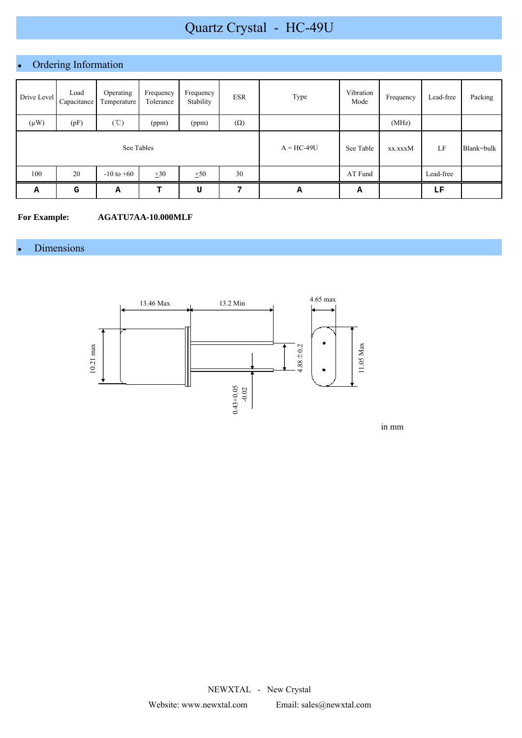# Quartz Crystal - HC-49U

# Ordering Information

| Drive Level | Load<br>Capacitance | Operating<br>Temperature | Frequency<br>Tolerance | Frequency<br>Stability | <b>ESR</b> | Type         | Vibration<br>Mode | Frequency | Lead-free | Packing    |
|-------------|---------------------|--------------------------|------------------------|------------------------|------------|--------------|-------------------|-----------|-----------|------------|
| $(\mu W)$   | (pF)                | $(\degree C)$            | (ppm)                  | (ppm)                  | $(\Omega)$ |              |                   | (MHz)     |           |            |
| See Tables  |                     |                          |                        |                        |            | $A = HC-49U$ | See Table         | xx.xxxM   | LF        | Blank=bulk |
| 100         | 20                  | $-10$ to $+60$           | $\pm 30$               | ±50                    | 30         |              | AT Fund           |           | Lead-free |            |
| Α           | G                   | Α                        | т                      | U                      | 7          | А            | А                 |           | LF        |            |

#### **For Example: AGATU7AA-10.000MLF**

# • Dimensions



in mm